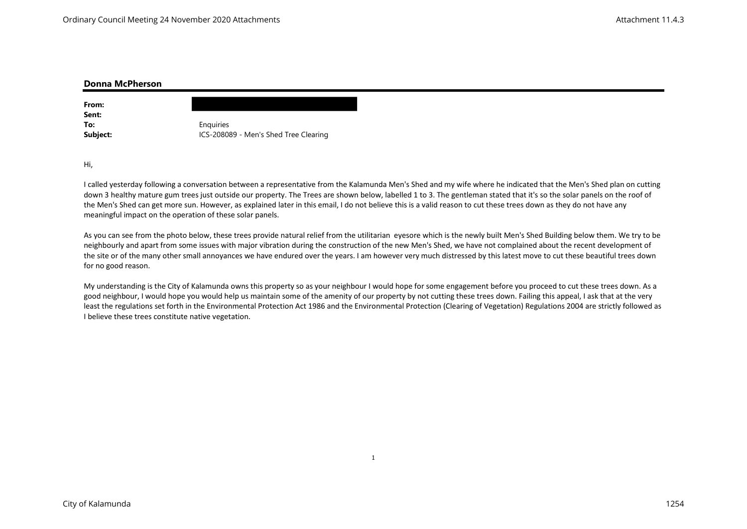| Donna McPherson |                                       |
|-----------------|---------------------------------------|
| From:           |                                       |
| Sent:           |                                       |
| To:             | Enquiries                             |
| Subject:        | ICS-208089 - Men's Shed Tree Clearing |
|                 |                                       |

Hi,

I called yesterday following a conversation between a representative from the Kalamunda Men's Shed and my wife where he indicated that the Men's Shed plan on cutting down 3 healthy mature gum trees just outside our property. The Trees are shown below, labelled 1 to 3. The gentleman stated that it's so the solar panels on the roof of the Men's Shed can get more sun. However, as explained later in this email, I do not believe this is a valid reason to cut these trees down as they do not have any meaningful impact on the operation of these solar panels.

As you can see from the photo below, these trees provide natural relief from the utilitarian eyesore which is the newly built Men's Shed Building below them. We try to be neighbourly and apart from some issues with major vibration during the construction of the new Men's Shed, we have not complained about the recent development of the site or of the many other small annoyances we have endured over the years. I am however very much distressed by this latest move to cut these beautiful trees down for no good reason.

My understanding is the City of Kalamunda owns this property so as your neighbour I would hope for some engagement before you proceed to cut these trees down. As a good neighbour, I would hope you would help us maintain some of the amenity of our property by not cutting these trees down. Failing this appeal, I ask that at the very least the regulations set forth in the Environmental Protection Act 1986 and the Environmental Protection (Clearing of Vegetation) Regulations 2004 are strictly followed as I believe these trees constitute native vegetation.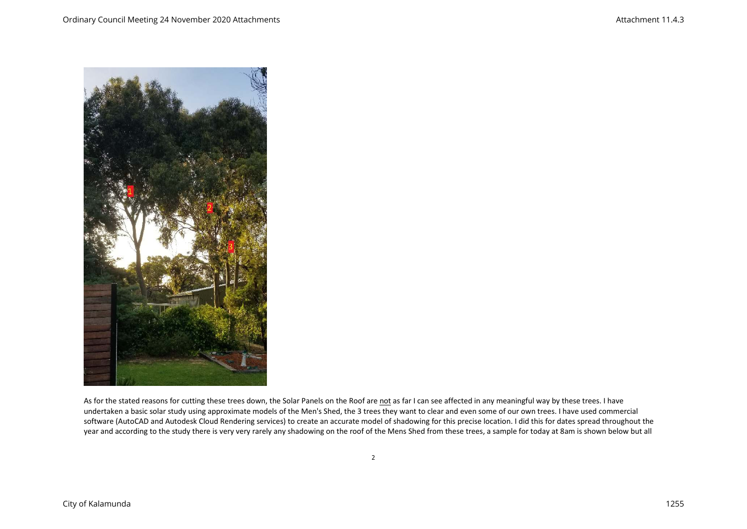

As for the stated reasons for cutting these trees down, the Solar Panels on the Roof are not as far I can see affected in any meaningful way by these trees. I have undertaken a basic solar study using approximate models of the Men's Shed, the 3 trees they want to clear and even some of our own trees. I have used commercial software (AutoCAD and Autodesk Cloud Rendering services) to create an accurate model of shadowing for this precise location. I did this for dates spread throughout the year and according to the study there is very very rarely any shadowing on the roof of the Mens Shed from these trees, a sample for today at 8am is shown below but all